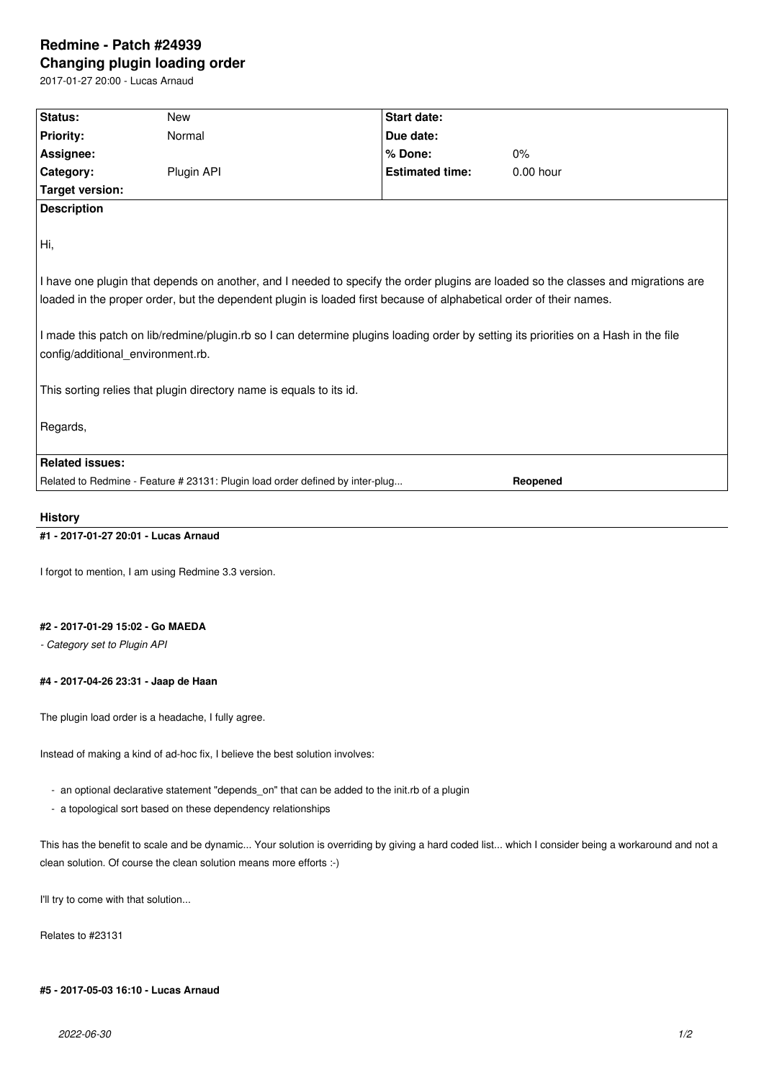# **Redmine - Patch #24939 Changing plugin loading order**

2017-01-27 20:00 - Lucas Arnaud

| Status:                                                                                                                           | New                                                                                                                | <b>Start date:</b>     |                                                                                                                                     |  |
|-----------------------------------------------------------------------------------------------------------------------------------|--------------------------------------------------------------------------------------------------------------------|------------------------|-------------------------------------------------------------------------------------------------------------------------------------|--|
| <b>Priority:</b>                                                                                                                  | Normal                                                                                                             | Due date:              |                                                                                                                                     |  |
| Assignee:                                                                                                                         |                                                                                                                    | % Done:                | 0%                                                                                                                                  |  |
| Category:                                                                                                                         | Plugin API                                                                                                         | <b>Estimated time:</b> | $0.00$ hour                                                                                                                         |  |
| <b>Target version:</b>                                                                                                            |                                                                                                                    |                        |                                                                                                                                     |  |
| <b>Description</b>                                                                                                                |                                                                                                                    |                        |                                                                                                                                     |  |
| Hi,                                                                                                                               |                                                                                                                    |                        |                                                                                                                                     |  |
| I have one plugin that depends on another, and I needed to specify the order plugins are loaded so the classes and migrations are |                                                                                                                    |                        |                                                                                                                                     |  |
|                                                                                                                                   | loaded in the proper order, but the dependent plugin is loaded first because of alphabetical order of their names. |                        |                                                                                                                                     |  |
| config/additional environment.rb.                                                                                                 |                                                                                                                    |                        | I made this patch on lib/redmine/plugin.rb so I can determine plugins loading order by setting its priorities on a Hash in the file |  |
|                                                                                                                                   | This sorting relies that plugin directory name is equals to its id.                                                |                        |                                                                                                                                     |  |
|                                                                                                                                   |                                                                                                                    |                        |                                                                                                                                     |  |
| Regards,                                                                                                                          |                                                                                                                    |                        |                                                                                                                                     |  |
|                                                                                                                                   |                                                                                                                    |                        |                                                                                                                                     |  |
| <b>Related issues:</b>                                                                                                            |                                                                                                                    |                        |                                                                                                                                     |  |

### **History**

## **#1 - 2017-01-27 20:01 - Lucas Arnaud**

I forgot to mention, I am using Redmine 3.3 version.

### **#2 - 2017-01-29 15:02 - Go MAEDA**

*- Category set to Plugin API*

### **#4 - 2017-04-26 23:31 - Jaap de Haan**

The plugin load order is a headache, I fully agree.

Instead of making a kind of ad-hoc fix, I believe the best solution involves:

- an optional declarative statement "depends\_on" that can be added to the init.rb of a plugin
- a topological sort based on these dependency relationships

This has the benefit to scale and be dynamic... Your solution is overriding by giving a hard coded list... which I consider being a workaround and not a clean solution. Of course the clean solution means more efforts :-)

I'll try to come with that solution...

Relates to #23131

### **#5 - 2017-05-03 16:10 - Lucas Arnaud**